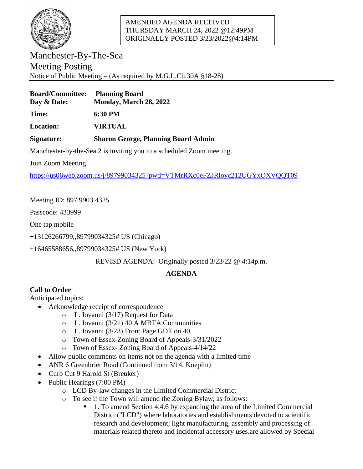

### AMENDED AGENDA RECEIVED THURSDAY MARCH 24, 2022 @12:49PM ORIGINALLY POSTED 3/23/2022@4:14PM

Manchester-By-The-Sea Meeting Posting Notice of Public Meeting – (As required by M.G.L.Ch.30A §18-28)

| <b>Board/Committee:</b> | <b>Planning Board</b>  |
|-------------------------|------------------------|
| Day & Date:             | Monday, March 28, 2022 |

**Time: 6:30 PM**

**Location: VIRTUAL**

### **Signature: Sharon George, Planning Board Admin**

Manchester-by-the-Sea 2 is inviting you to a scheduled Zoom meeting.

Join Zoom Meeting

<https://us06web.zoom.us/j/89799034325?pwd=VTMrRXc0eFZJRloyc212UGYxOXVQQT09>

Meeting ID: 897 9903 4325

Passcode: 433999

One tap mobile

+13126266799,,89799034325# US (Chicago)

+16465588656,,89799034325# US (New York)

REVISD AGENDA: Originally posted 3/23/22 @ 4:14p.m.

# **AGENDA**

## **Call to Order**

Anticipated topics:

- Acknowledge receipt of correspondence
	- o L. Iovanni (3/17) Request for Data
	- o L. Iovanni (3/21) 40 A MBTA Communities
	- o L. Iovanni (3/23) Front Page GDT on 40
	- o Town of Essex-Zoning Board of Appeals-3/31/2022
	- o Town of Essex- Zoning Board of Appeals-4/14/22
- Allow public comments on items not on the agenda with a limited time
- ANR 6 Greenbrier Road (Continued from 3/14, Koeplin)
- Curb Cut 9 Harold St (Breuker)
- Public Hearings (7:00 PM)
	- o LCD By-law changes in the Limited Commercial District
	- o To see if the Town will amend the Zoning Bylaw, as follows:
		- 1. To amend Section 4.4.6 by expanding the area of the Limited Commercial District ("LCD") where laboratories and establishments devoted to scientific research and development; light manufacturing, assembly and processing of materials related thereto and incidental accessory uses.are allowed by Special